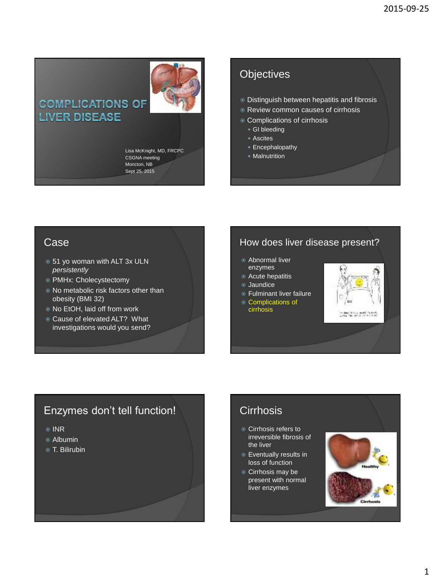# **COMPLICATIONS OF LIVER DISEASE**

Lisa McKnight, MD, FRCPC CSGNA meeting Moncton, NB Sept 25, 2015

# **Objectives**

- Distinguish between hepatitis and fibrosis
- Review common causes of cirrhosis
- Complications of cirrhosis
	- **GI** bleeding
	- Ascites
	- Encephalopathy
	- Malnutrition

## Case

- 51 yo woman with ALT 3x ULN *persistently*
- PMHx: Cholecystectomy
- No metabolic risk factors other than obesity (BMI 32)
- No EtOH, laid off from work
- Cause of elevated ALT? What investigations would you send?

# How does liver disease present?

- Abnormal liver enzymes
- Acute hepatitis
- Jaundice
- Fulminant liver failure
- Complications of
- cirrhosis



# Enzymes don't tell function!

- <sup>⊚</sup> INR
- Albumin
- T. Bilirubin

# **Cirrhosis**

- **Cirrhosis refers to** irreversible fibrosis of the liver
- Eventually results in loss of function
- **Cirrhosis may be** present with normal liver enzymes

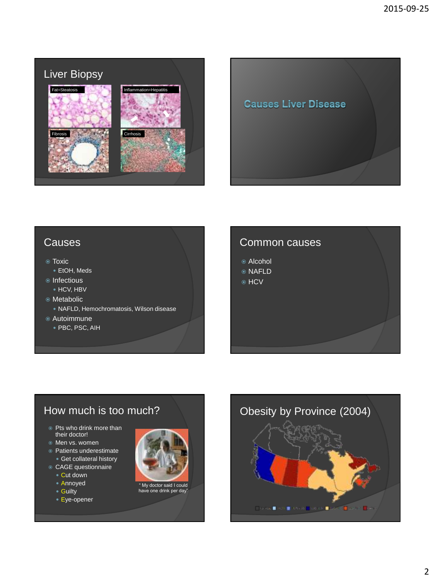



## **Causes**

#### Toxic

- EtOH, Meds
- Infectious HCV, HBV
- Metabolic
	- NAFLD, Hemochromatosis, Wilson disease
- Autoimmune
	- PBC, PSC, AIH

## Common causes

- Alcohol
- NAFLD
- ⊕ HCV

# How much is too much?

- Pts who drink more than their doctor!
- Men vs. women
- Patients underestimate Get collateral history
- CAGE questionnaire
	- Cut down
	- Annoyed
	- Guilty
	- Eye-opener





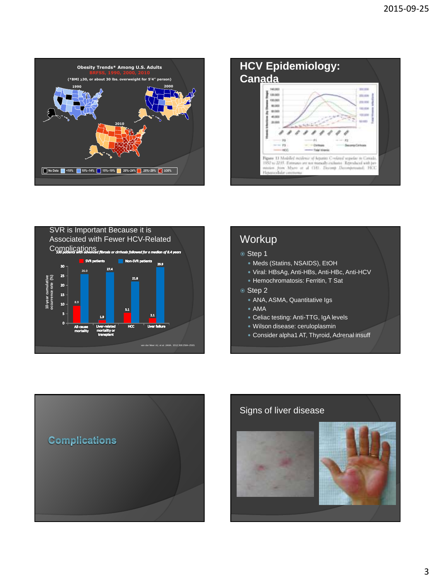





# **Workup**

### <sup>●</sup> Step 1

- Meds (Statins, NSAIDS), EtOH
- Viral: HBsAg, Anti-HBs, Anti-HBc, Anti-HCV
- Hemochromatosis: Ferritin, T Sat

### Step 2

- ANA, ASMA, Quantitative Igs
- AMA
- Celiac testing: Anti-TTG, IgA levels
- Wilson disease: ceruloplasmin
- Consider alpha1 AT, Thyroid, Adrenal insuff



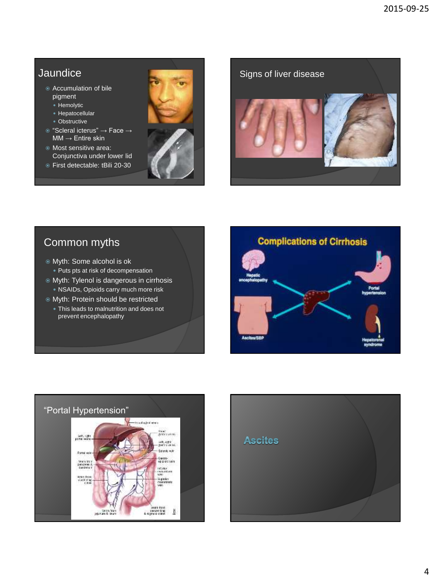# **Jaundice**

- Accumulation of bile pigment
	- Hemolytic
	- Hepatocellular
	- Obstructive
- "Scleral icterus" → Face →  $MM \rightarrow$  Entire skin
- Most sensitive area: Conjunctiva under lower lid
- First detectable: tBili 20-30



Signs of liver disease

# Common myths

- Myth: Some alcohol is ok • Puts pts at risk of decompensation
- Myth: Tylenol is dangerous in cirrhosis NSAIDs, Opioids carry much more risk
- Myth: Protein should be restricted
	- This leads to malnutrition and does not prevent encephalopathy





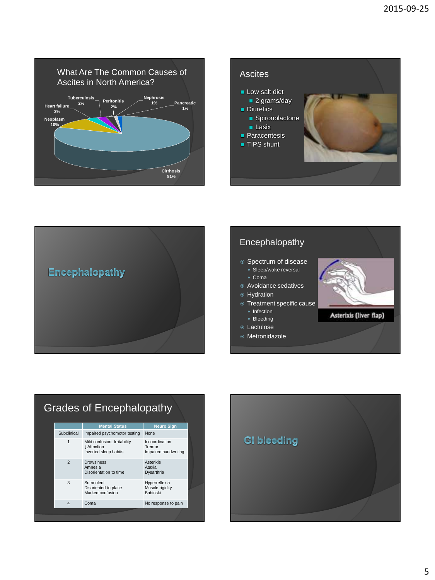





## Encephalopathy ● Spectrum of disease · Sleep/wake reversal Coma Avoidance sedatives **•** Hydration **Treatment specific cause** • Infection Asterixis (liver flap) • Bleeding Lactulose Metronidazole

#### Grades of Encephalopathy **Mental Status Neuro Sign** Subclinical Impaired psychomotor testing None 1 Mild confusion, Irritability ↓ Attention Inverted sleep habits Incoordination Tremor Impaired handwriting 2 Drowsiness Amnesia Disorientation to time Asterixis Ataxia Dysarthria 3 Somnolent Disoriented to place Marked confusion Hyperreflexia Muscle rigidity Babinski 4 Coma No response to pain

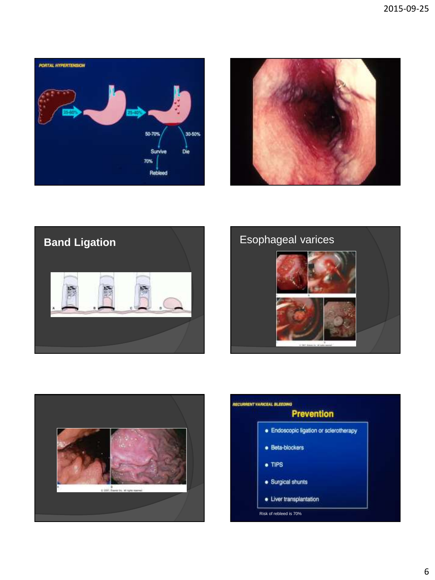









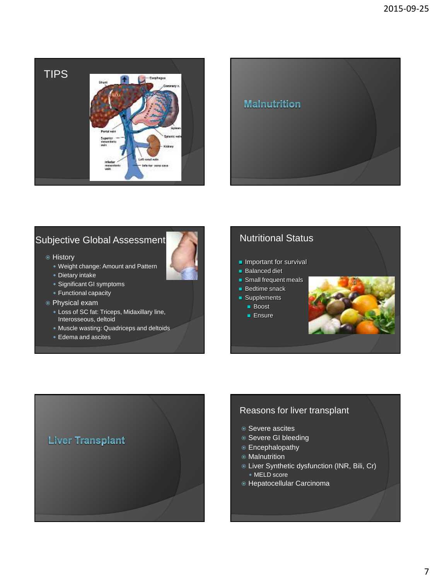

## **Malnutrition**

# Subjective Global Assessment

- History
	- Weight change: Amount and Pattern
	- Dietary intake
	- Significant GI symptoms
	- Functional capacity
- Physical exam
	- Loss of SC fat: Triceps, Midaxillary line, Interosseous, deltoid
	- Muscle wasting: Quadriceps and deltoids
	- Edema and ascites

## Nutritional Status

- **Important for survival**
- **Balanced diet**
- Small frequent meals
- **Bedtime snack**
- Supplements
	- **Boost**
	- **Ensure**





### Reasons for liver transplant

- Severe ascites
- Severe GI bleeding
- Encephalopathy
- Malnutrition
- Liver Synthetic dysfunction (INR, Bili, Cr)
	- MELD score
- Hepatocellular Carcinoma